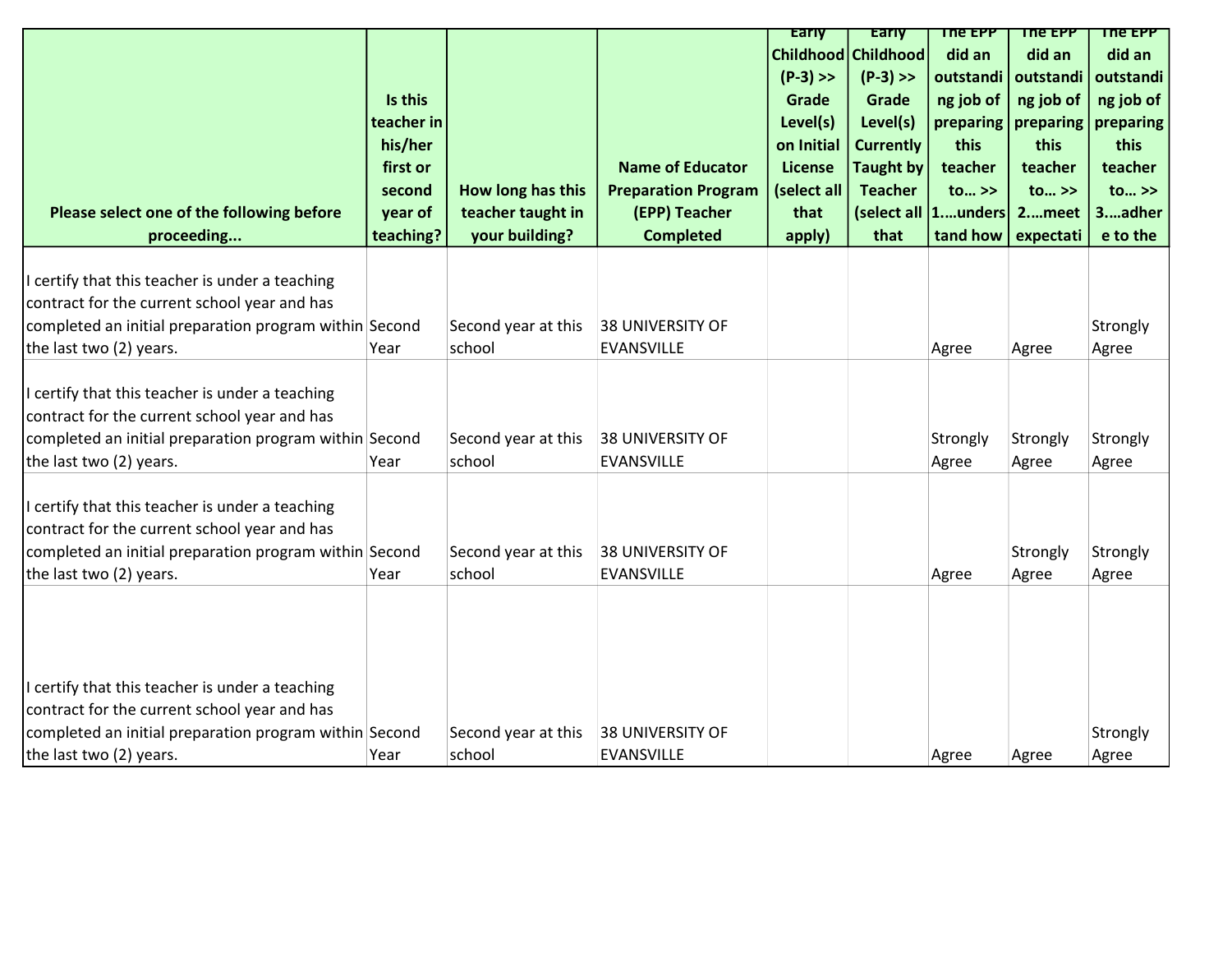|                                                        |            |                     |                            | <b>Early</b>    | <b>Early</b>        | The EPP              | The EPP               | The EPP                 |
|--------------------------------------------------------|------------|---------------------|----------------------------|-----------------|---------------------|----------------------|-----------------------|-------------------------|
|                                                        |            |                     |                            |                 | Childhood Childhood | did an               | did an                | did an                  |
|                                                        |            |                     |                            | $(P-3)$ >>      | $(P-3)$ >>          | outstandi            | outstandi             | outstandi               |
|                                                        | Is this    |                     |                            | Grade           | Grade               | ng job of            | ng job of             | ng job of               |
|                                                        | teacher in |                     |                            | Level(s)        | Level(s)            |                      | preparing   preparing | preparing               |
|                                                        | his/her    |                     |                            | on Initial      | <b>Currently</b>    | this                 | this                  | this                    |
|                                                        | first or   |                     | <b>Name of Educator</b>    | <b>License</b>  | <b>Taught by</b>    | teacher              | teacher               | teacher                 |
|                                                        | second     | How long has this   | <b>Preparation Program</b> | (select all $ $ | <b>Teacher</b>      | to $\gg$             | to >>                 | $\text{to} \rightarrow$ |
| Please select one of the following before              | year of    | teacher taught in   | (EPP) Teacher              | that            |                     | (select all  1unders | 2meet                 | 3.  adher               |
| proceeding                                             | teaching?  | your building?      | <b>Completed</b>           | apply)          | that                | tand how             | expectati             | e to the                |
|                                                        |            |                     |                            |                 |                     |                      |                       |                         |
| I certify that this teacher is under a teaching        |            |                     |                            |                 |                     |                      |                       |                         |
| contract for the current school year and has           |            |                     |                            |                 |                     |                      |                       |                         |
| completed an initial preparation program within Second |            | Second year at this | <b>38 UNIVERSITY OF</b>    |                 |                     |                      |                       | Strongly                |
| the last two (2) years.                                | Year       | school              | <b>EVANSVILLE</b>          |                 |                     | Agree                | Agree                 | Agree                   |
|                                                        |            |                     |                            |                 |                     |                      |                       |                         |
| I certify that this teacher is under a teaching        |            |                     |                            |                 |                     |                      |                       |                         |
| contract for the current school year and has           |            |                     |                            |                 |                     |                      |                       |                         |
| completed an initial preparation program within Second |            | Second year at this | 38 UNIVERSITY OF           |                 |                     | Strongly             | Strongly              | Strongly                |
| the last two (2) years.                                | Year       | school              | <b>EVANSVILLE</b>          |                 |                     | Agree                | Agree                 | Agree                   |
|                                                        |            |                     |                            |                 |                     |                      |                       |                         |
| I certify that this teacher is under a teaching        |            |                     |                            |                 |                     |                      |                       |                         |
| contract for the current school year and has           |            |                     |                            |                 |                     |                      |                       |                         |
| completed an initial preparation program within Second |            | Second year at this | <b>38 UNIVERSITY OF</b>    |                 |                     |                      | Strongly              | Strongly                |
| the last two (2) years.                                | Year       | school              | <b>EVANSVILLE</b>          |                 |                     | Agree                | Agree                 | Agree                   |
|                                                        |            |                     |                            |                 |                     |                      |                       |                         |
|                                                        |            |                     |                            |                 |                     |                      |                       |                         |
|                                                        |            |                     |                            |                 |                     |                      |                       |                         |
|                                                        |            |                     |                            |                 |                     |                      |                       |                         |
| I certify that this teacher is under a teaching        |            |                     |                            |                 |                     |                      |                       |                         |
| contract for the current school year and has           |            |                     |                            |                 |                     |                      |                       |                         |
| completed an initial preparation program within Second |            | Second year at this | <b>38 UNIVERSITY OF</b>    |                 |                     |                      |                       | Strongly                |
| the last two (2) years.                                | Year       | school              | <b>EVANSVILLE</b>          |                 |                     | Agree                | Agree                 | Agree                   |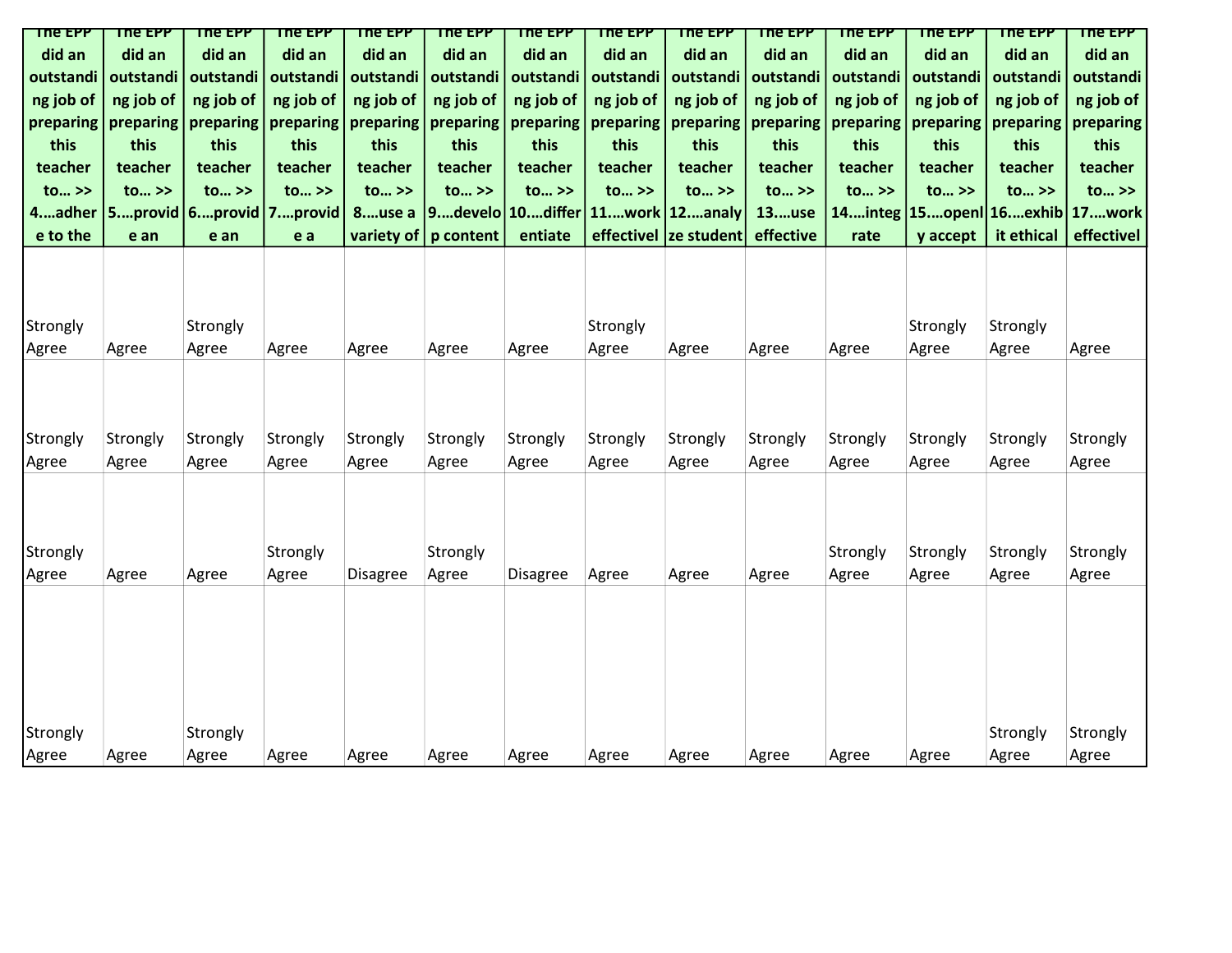| The EPP                 | <b>THE EPP</b>    | <b>The EPP</b>                      | <b>TUG FALL</b>         | <b>THE EPP</b>    | <b>The EPP</b>          | <b>The EPP</b>           | <b>THE EPP</b>           | The EPP                             | <b>The EPP</b>          | <b>THE EPP</b>                      | The EPP                             | <b>TUG FALL</b>         | The EPP                             |
|-------------------------|-------------------|-------------------------------------|-------------------------|-------------------|-------------------------|--------------------------|--------------------------|-------------------------------------|-------------------------|-------------------------------------|-------------------------------------|-------------------------|-------------------------------------|
| did an                  | did an            | did an                              | did an                  | did an            | did an                  | did an                   | did an                   | did an                              | did an                  | did an                              | did an                              | did an                  | did an                              |
| outstandi               | outstandi         | outstandi                           | outstandi               | outstandi         | outstandi               | outstandi                | outstandi                | outstandi                           | outstandi               | outstandi                           | outstandi                           | outstandi               | outstandi                           |
| ng job of               | ng job of         | ng job of                           | ng job of               | ng job of         | ng job of               | ng job of                | ng job of                | ng job of                           | ng job of               | ng job of                           | ng job of                           | ng job of               | ng job of                           |
| preparing               | preparing         | preparing                           | preparing               | preparing         | preparing               | preparing                | preparing                | preparing                           | preparing               | preparing                           | preparing                           | preparing               | preparing                           |
| this                    | this              | this                                | this                    | this              | this                    | this                     | this                     | this                                | this                    | this                                | this                                | this                    | this                                |
| teacher                 | teacher           | teacher                             | teacher                 | teacher           | teacher                 | teacher                  | teacher                  | teacher                             | teacher                 | teacher                             | teacher                             | teacher                 | teacher                             |
| $\text{to} \rightarrow$ | to >>             | $\text{to} \rightarrow$             | $\text{to} \rightarrow$ | $to \gg$          | $\text{to} \rightarrow$ | $\text{to} \rightarrow$  | $\mathsf{to} \dots \geq$ | $\mathsf{to} \dots \geq \mathsf{S}$ | $\text{to} \rightarrow$ | $\mathsf{to} \dots \geq \mathsf{S}$ | $\mathsf{to} \dots \geq \mathsf{S}$ | $\text{to} \rightarrow$ | $\mathsf{to} \dots \geq \mathsf{S}$ |
| 4adher                  |                   | $ 5$ provid $ 6$ provid $ 7$ provid |                         | 8use a            |                         | 9.  develo   10.  differ |                          | $11$ work   $12$ analy              | 13use                   |                                     | 14integ   15open  16exhib   17work  |                         |                                     |
| e to the                | e an              | e an                                | e a                     |                   | variety of $ p$ content | entiate                  |                          | effectivel  ze student              | effective               | rate                                | y accept                            | it ethical              | effectivel                          |
| Strongly<br>Agree       | Agree             | Strongly<br>Agree                   | Agree                   | Agree             | Agree                   | Agree                    | Strongly<br>Agree        | Agree                               | Agree                   | Agree                               | Strongly<br>Agree                   | Strongly<br>Agree       | Agree                               |
| Strongly<br>Agree       | Strongly<br>Agree | Strongly<br>Agree                   | Strongly<br>Agree       | Strongly<br>Agree | Strongly<br>Agree       | Strongly<br>Agree        | Strongly<br>Agree        | Strongly<br>Agree                   | Strongly<br>Agree       | Strongly<br>Agree                   | Strongly<br>Agree                   | Strongly<br>Agree       | Strongly<br>Agree                   |
| Strongly<br>Agree       | Agree             | Agree                               | Strongly<br>Agree       | Disagree          | Strongly<br>Agree       | Disagree                 | Agree                    | Agree                               | Agree                   | Strongly<br>Agree                   | Strongly<br>Agree                   | Strongly<br>Agree       | Strongly<br>Agree                   |
| Strongly<br>Agree       | Agree             | Strongly<br>Agree                   | Agree                   | Agree             | Agree                   | Agree                    | Agree                    | Agree                               | Agree                   | Agree                               | Agree                               | Strongly<br>Agree       | Strongly<br>Agree                   |